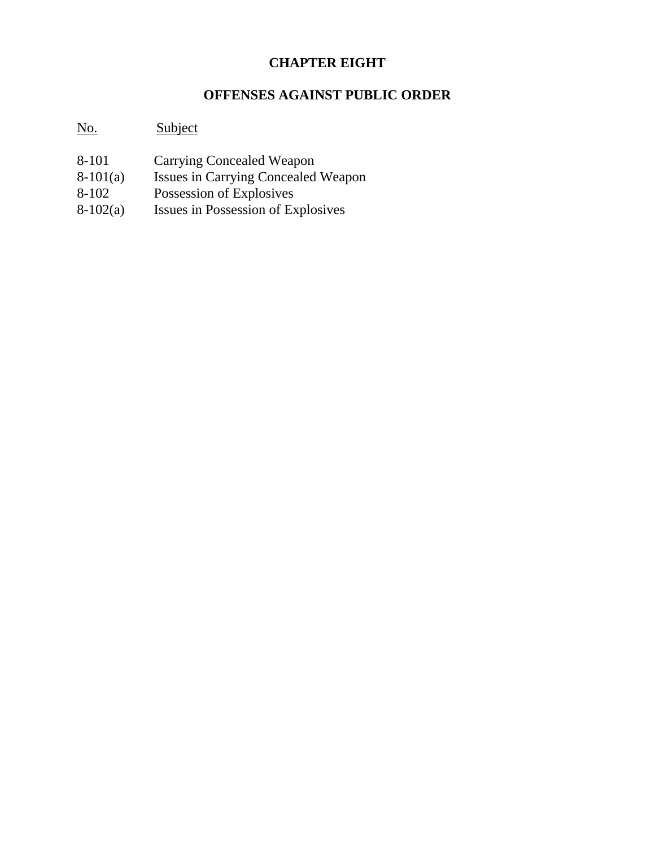# **CHAPTER EIGHT**

# **OFFENSES AGAINST PUBLIC ORDER**

# No. Subject

- 8-101 Carrying Concealed Weapon
- 8-101(a) Issues in Carrying Concealed Weapon<br>8-102 Possession of Explosives
- 
- 8-102 Possession of Explosives<br>8-102(a) Issues in Possession of Ex Issues in Possession of Explosives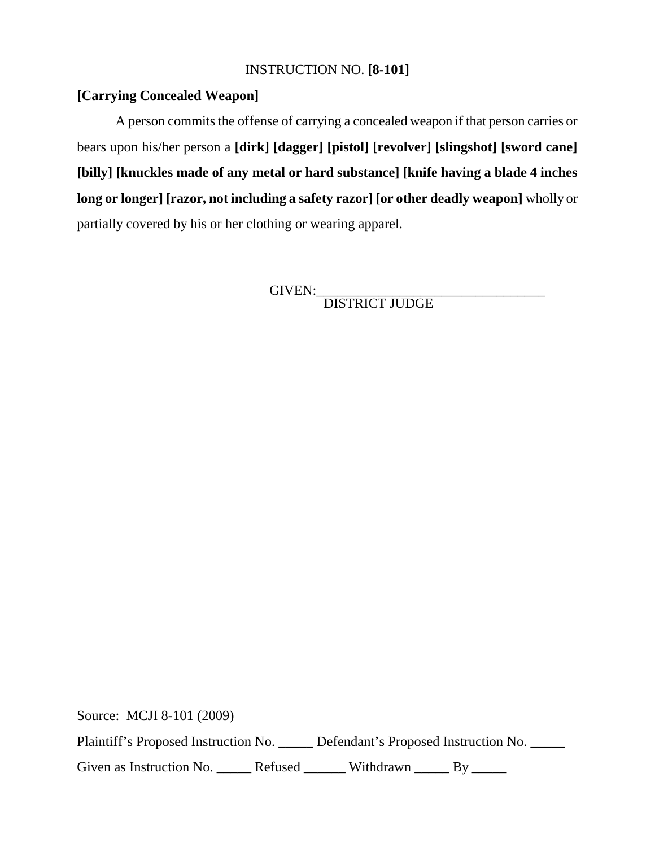# INSTRUCTION NO. **[8-101]**

# **[Carrying Concealed Weapon]**

A person commits the offense of carrying a concealed weapon if that person carries or bears upon his/her person a **[dirk] [dagger] [pistol] [revolver] [slingshot] [sword cane] [billy] [knuckles made of any metal or hard substance] [knife having a blade 4 inches long or longer] [razor, not including a safety razor] [or other deadly weapon]** wholly or partially covered by his or her clothing or wearing apparel.

GIVEN:<br>DISTRICT JUDGE

Source: MCJI 8-101 (2009)

Plaintiff's Proposed Instruction No. \_\_\_\_\_ Defendant's Proposed Instruction No. \_\_\_\_\_

Given as Instruction No. \_\_\_\_\_\_ Refused \_\_\_\_\_\_ Withdrawn \_\_\_\_\_ By \_\_\_\_\_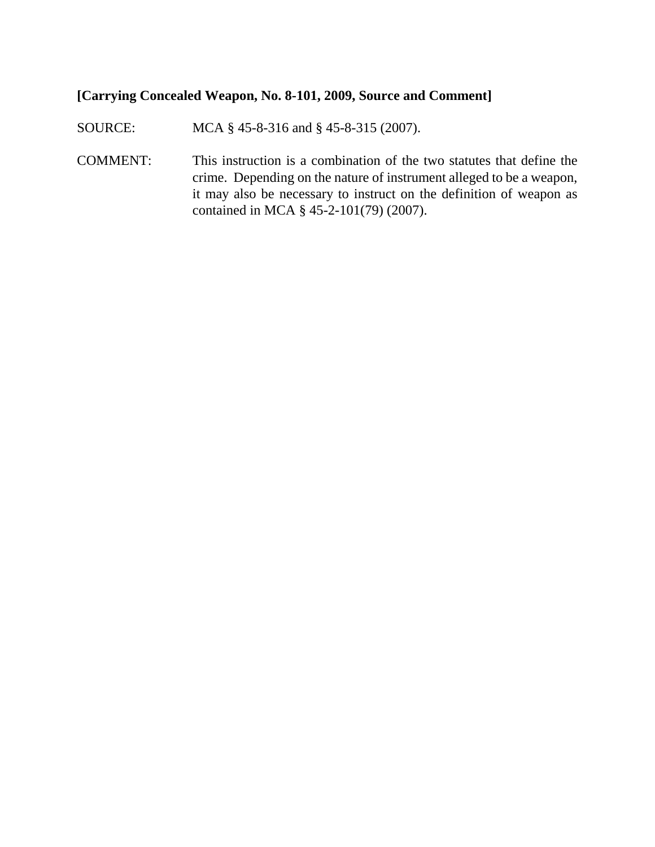## **[Carrying Concealed Weapon, No. 8-101, 2009, Source and Comment]**

SOURCE: MCA § 45-8-316 and § 45-8-315 (2007).

COMMENT: This instruction is a combination of the two statutes that define the crime. Depending on the nature of instrument alleged to be a weapon, it may also be necessary to instruct on the definition of weapon as contained in MCA § 45-2-101(79) (2007).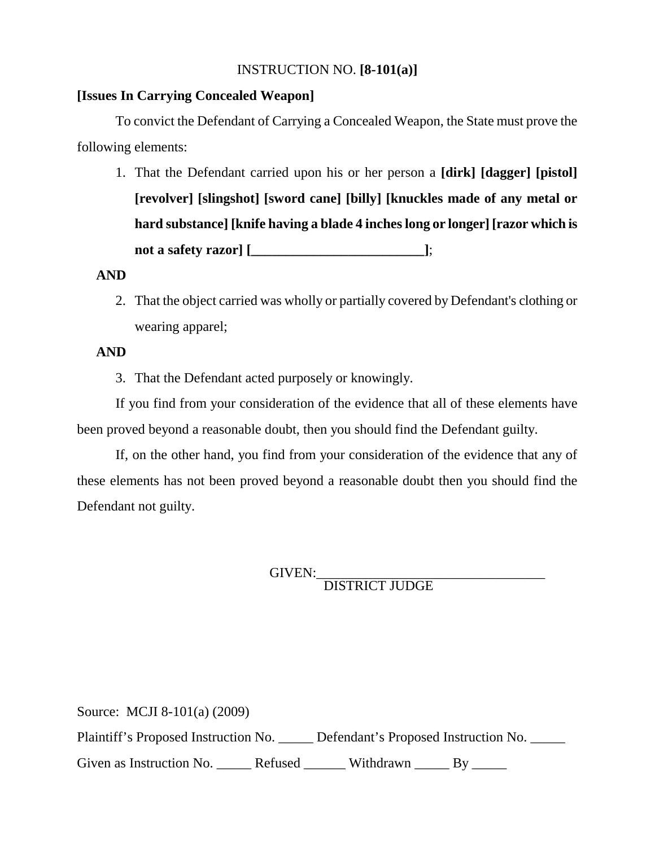## INSTRUCTION NO. **[8-101(a)]**

### **[Issues In Carrying Concealed Weapon]**

To convict the Defendant of Carrying a Concealed Weapon, the State must prove the following elements:

1. That the Defendant carried upon his or her person a **[dirk] [dagger] [pistol] [revolver] [slingshot] [sword cane] [billy] [knuckles made of any metal or hard substance] [knife having a blade 4 inches long or longer] [razor which is not a safety razor] [\_\_\_\_\_\_\_\_\_\_\_\_\_\_\_\_\_\_\_\_\_\_\_\_\_]**;

#### **AND**

2. That the object carried was wholly or partially covered by Defendant's clothing or wearing apparel;

#### **AND**

3. That the Defendant acted purposely or knowingly.

If you find from your consideration of the evidence that all of these elements have been proved beyond a reasonable doubt, then you should find the Defendant guilty.

If, on the other hand, you find from your consideration of the evidence that any of these elements has not been proved beyond a reasonable doubt then you should find the Defendant not guilty.

GIVEN:\_\_\_\_\_\_\_\_\_\_\_\_\_\_\_\_\_\_\_\_\_\_\_\_\_\_\_\_\_\_\_\_\_ DISTRICT JUDGE

Source: MCJI 8-101(a) (2009) Plaintiff's Proposed Instruction No. \_\_\_\_\_ Defendant's Proposed Instruction No. \_\_\_\_\_ Given as Instruction No. \_\_\_\_\_\_ Refused \_\_\_\_\_\_\_ Withdrawn \_\_\_\_\_\_ By \_\_\_\_\_\_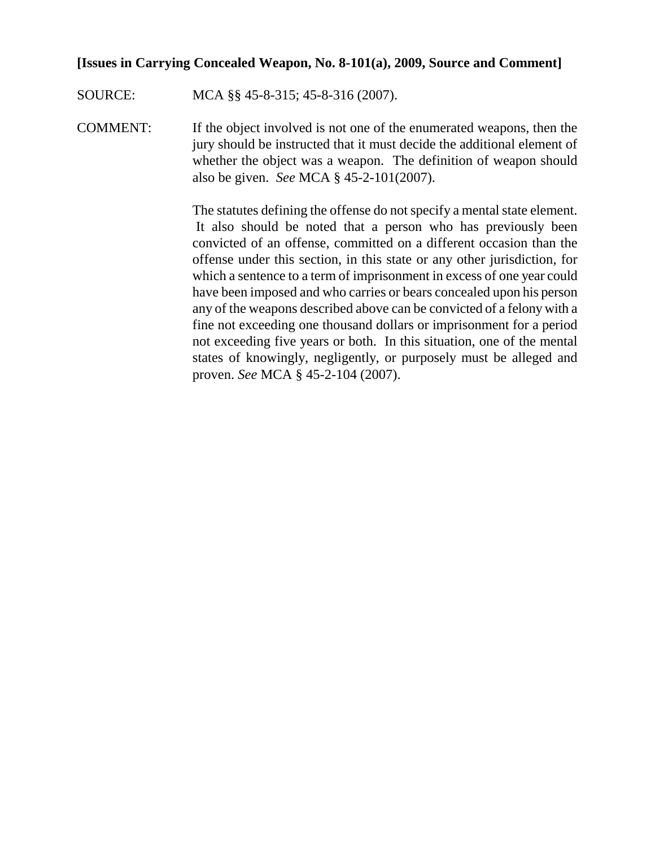#### **[Issues in Carrying Concealed Weapon, No. 8-101(a), 2009, Source and Comment]**

SOURCE: MCA §§ 45-8-315; 45-8-316 (2007).

COMMENT: If the object involved is not one of the enumerated weapons, then the jury should be instructed that it must decide the additional element of whether the object was a weapon. The definition of weapon should also be given. *See* MCA § 45-2-101(2007).

> The statutes defining the offense do not specify a mental state element. It also should be noted that a person who has previously been convicted of an offense, committed on a different occasion than the offense under this section, in this state or any other jurisdiction, for which a sentence to a term of imprisonment in excess of one year could have been imposed and who carries or bears concealed upon his person any of the weapons described above can be convicted of a felony with a fine not exceeding one thousand dollars or imprisonment for a period not exceeding five years or both. In this situation, one of the mental states of knowingly, negligently, or purposely must be alleged and proven. *See* MCA § 45-2-104 (2007).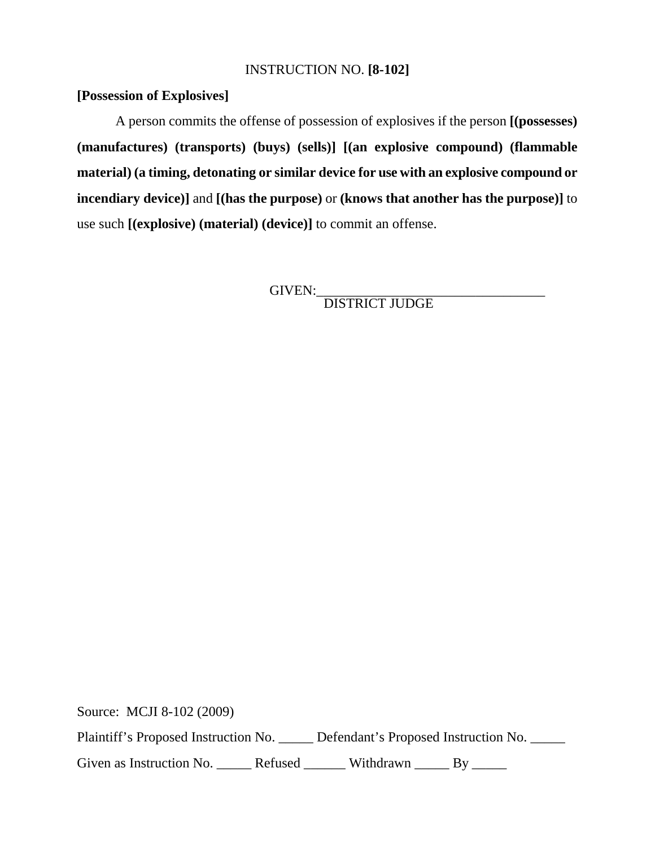## INSTRUCTION NO. **[8-102]**

# **[Possession of Explosives]**

A person commits the offense of possession of explosives if the person **[(possesses) (manufactures) (transports) (buys) (sells)] [(an explosive compound) (flammable material) (a timing, detonating or similar device for use with an explosive compound or incendiary device)]** and **[(has the purpose)** or **(knows that another has the purpose)]** to use such **[(explosive) (material) (device)]** to commit an offense.

GIVEN:<br>DISTRICT JUDGE

Source: MCJI 8-102 (2009)

Plaintiff's Proposed Instruction No. \_\_\_\_\_ Defendant's Proposed Instruction No. \_\_\_\_\_

Given as Instruction No. \_\_\_\_\_\_ Refused \_\_\_\_\_\_ Withdrawn \_\_\_\_\_ By \_\_\_\_\_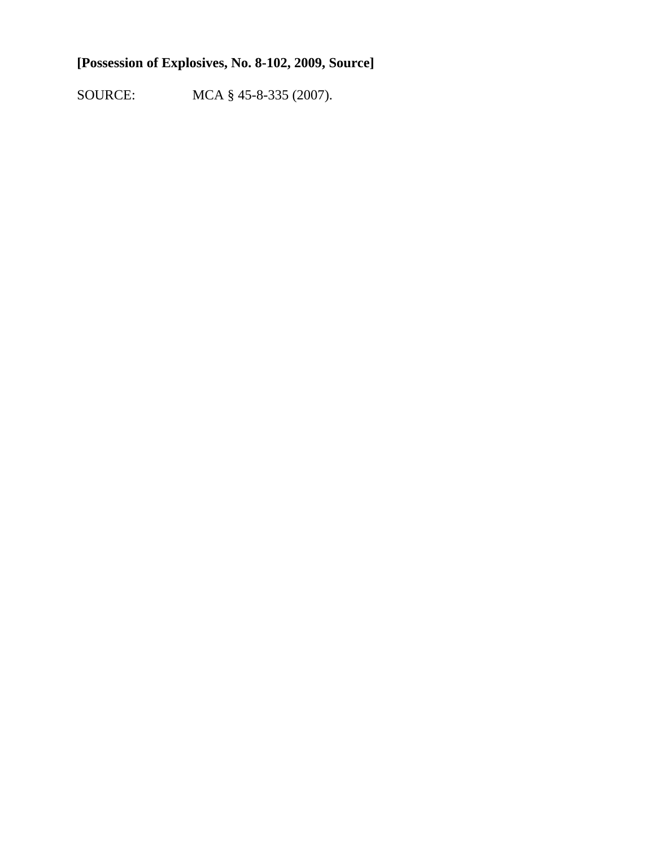# **[Possession of Explosives, No. 8-102, 2009, Source]**

SOURCE: MCA § 45-8-335 (2007).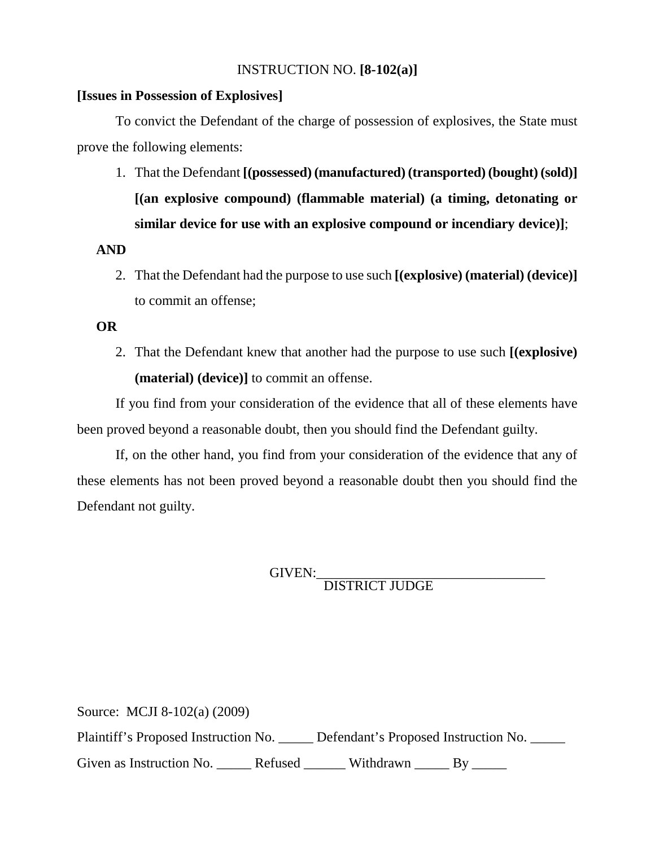### INSTRUCTION NO. **[8-102(a)]**

#### **[Issues in Possession of Explosives]**

To convict the Defendant of the charge of possession of explosives, the State must prove the following elements:

1. That the Defendant **[(possessed) (manufactured) (transported) (bought) (sold)] [(an explosive compound) (flammable material) (a timing, detonating or similar device for use with an explosive compound or incendiary device)]**;

## **AND**

2. That the Defendant had the purpose to use such **[(explosive) (material) (device)]**  to commit an offense;

# **OR**

2. That the Defendant knew that another had the purpose to use such **[(explosive) (material) (device)]** to commit an offense.

If you find from your consideration of the evidence that all of these elements have been proved beyond a reasonable doubt, then you should find the Defendant guilty.

If, on the other hand, you find from your consideration of the evidence that any of these elements has not been proved beyond a reasonable doubt then you should find the Defendant not guilty.

GIVEN:\_\_\_\_\_\_\_\_\_\_\_\_\_\_\_\_\_\_\_\_\_\_\_\_\_\_\_\_\_\_\_\_\_ DISTRICT JUDGE

Source: MCJI 8-102(a) (2009) Plaintiff's Proposed Instruction No. \_\_\_\_\_ Defendant's Proposed Instruction No. \_\_\_\_\_ Given as Instruction No. \_\_\_\_\_\_ Refused \_\_\_\_\_\_\_ Withdrawn \_\_\_\_\_\_ By \_\_\_\_\_\_